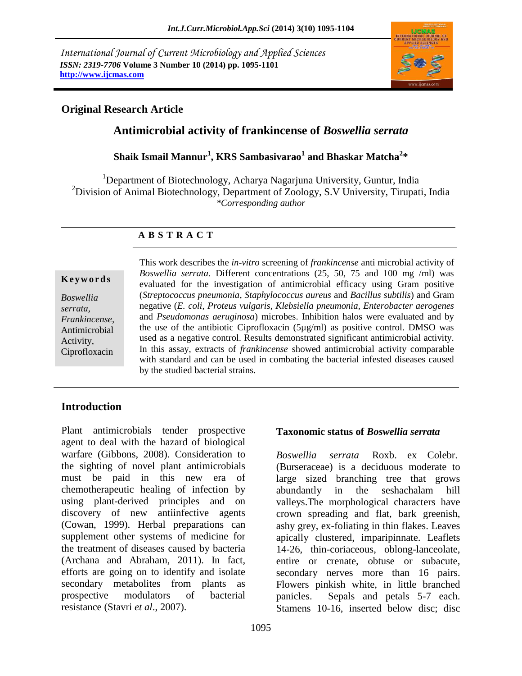*International Journal of Current Microbiology and Applied Sciences ISSN: 2319-7706* **Volume 3 Number 10 (2014) pp. 1095-1101 http://www.ijcmas.com** 



## **Original Research Article**

# **Antimicrobial activity of frankincense of** *Boswellia serrata*

**Shaik Ismail Mannur<sup>1</sup> , KRS Sambasivarao<sup>1</sup> and Bhaskar Matcha<sup>2</sup> \***

<sup>1</sup>Department of Biotechnology, Acharya Nagarjuna University, Guntur, India <sup>2</sup>Division of Animal Biotechnology, Department of Zoology, S.V University, Tirupati, India *\*Corresponding author* 

## **A B S T R A C T**

### **K e y w o r d s**

*Boswellia serrata, Frankincense,*  Antimicrobial Activity, Ciprofloxacin This work describes the *in-vitro* screening of *frankincense* anti microbial activity of *Boswellia serrata*. Different concentrations (25, 50, 75 and 100 mg /ml) was evaluated for the investigation of antimicrobial efficacy using Gram positive (*Streptococcus pneumonia*, *Staphylococcus aureus* and *Bacillus subtilis*) and Gram negative (*E. coli*, *Proteus vulgaris*, *Klebsiella pneumonia*, *Enterobacter aerogenes* and *Pseudomonas aeruginosa*) microbes. Inhibition halos were evaluated and by the use of the antibiotic Ciprofloxacin (5µg/ml) as positive control. DMSO was used as a negative control. Results demonstrated significant antimicrobial activity. In this assay, extracts of *frankincense* showed antimicrobial activity comparable with standard and can be used in combating the bacterial infested diseases caused by the studied bacterial strains.

## **Introduction**

Plant antimicrobials tender prospective agent to deal with the hazard of biological warfare (Gibbons, 2008). Consideration to the sighting of novel plant antimicrobials must be paid in this new era of chemotherapeutic healing of infection by using plant-derived principles and on discovery of new antiinfective agents (Cowan, 1999). Herbal preparations can supplement other systems of medicine for the treatment of diseases caused by bacteria (Archana and Abraham, 2011). In fact, efforts are going on to identify and isolate secondary metabolites from plants as prospective modulators of bacterial resistance (Stavri *et al*., 2007).

### **Taxonomic status of** *Boswellia serrata*

*Boswellia serrata* Roxb. ex Colebr. (Burseraceae) is a deciduous moderate to large sized branching tree that grows abundantly in the seshachalam hill valleys.The morphological characters have crown spreading and flat, bark greenish, ashy grey, ex-foliating in thin flakes. Leaves apically clustered, imparipinnate. Leaflets 14-26, thin-coriaceous, oblong-lanceolate, entire or crenate, obtuse or subacute, secondary nerves more than 16 pairs. Flowers pinkish white, in little branched panicles. Sepals and petals 5-7 each. Stamens 10-16, inserted below disc; disc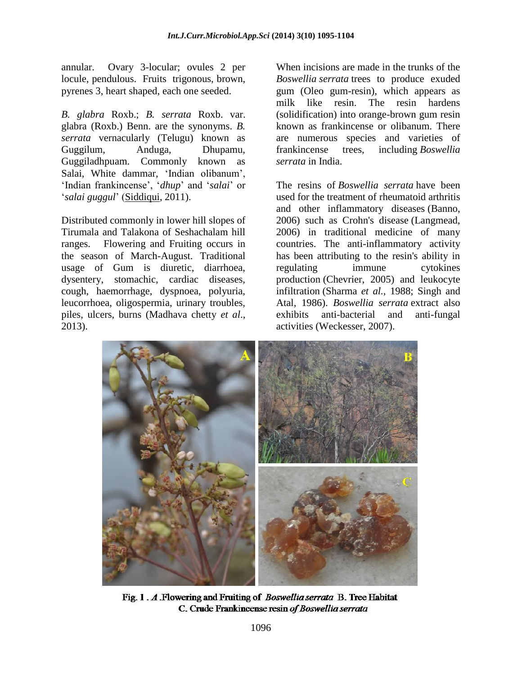annular. Ovary 3-locular; ovules 2 per locule, pendulous. Fruits trigonous, brown, pyrenes 3, heart shaped, each one seeded.

*B. glabra* Roxb.; *B. serrata* Roxb. var. glabra (Roxb.) Benn. are the synonyms. *B. serrata* vernacularly (Telugu) known as Guggilum, Anduga, Dhupamu, Guggiladhpuam. Commonly known as Salai, White dammar, 'Indian olibanum', 'Indian frankincense', '*dhup*' and '*salai*' or '*salai guggul*' [\(Siddiqui,](http://www.ncbi.nlm.nih.gov/pubmed/?term=Siddiqui%20MZ%5Bauth%5D) 2011).

Distributed commonly in lower hill slopes of Tirumala and Talakona of Seshachalam hill ranges. Flowering and Fruiting occurs in the season of March-August. Traditional usage of Gum is diuretic, diarrhoea, dysentery, stomachic, cardiac diseases, cough, haemorrhage, dyspnoea, polyuria, leucorrhoea, oligospermia, urinary troubles, piles, ulcers, burns (Madhava chetty *et al*., 2013).

When incisions are made in the trunks of the *Boswellia serrata* trees to produce exuded gum (Oleo gum-resin), which appears as milk like resin. The resin hardens (solidification) into orange-brown gum resin known as frankincense or olibanum. There are numerous species and varieties of frankincense trees, including *Boswellia serrata* in India.

The resins of *Boswellia serrata* have been used for the treatment of rheumatoid arthritis and other inflammatory diseases (Banno, 2006) such as Crohn's disease (Langmead, 2006) in traditional medicine of many countries. The anti-inflammatory activity has been attributing to the resin's ability in regulating immune cytokines production (Chevrier, 2005) and leukocyte infiltration (Sharma *et al.,* 1988; Singh and Atal, 1986). *Boswellia serrata* extract also exhibits anti-bacterial and anti-fungal activities (Weckesser, 2007).



Fig. 1. A. Flowering and Fruiting of Boswellia serrata B. Tree Habitat C. Crude Frankincense resin of Boswellia serrata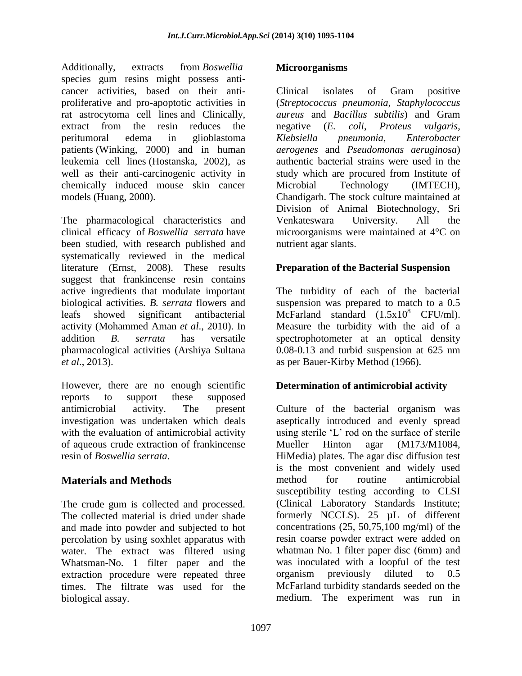Additionally, extracts from *Boswellia* species gum resins might possess anticancer activities, based on their antiproliferative and pro-apoptotic activities in rat astrocytoma cell lines and Clinically, extract from the resin reduces the peritumoral edema in glioblastoma patients (Winking, 2000) and in human leukemia cell lines (Hostanska, 2002), as well as their anti-carcinogenic activity in chemically induced mouse skin cancer models (Huang, 2000).

The pharmacological characteristics and clinical efficacy of *Boswellia serrata* have been studied, with research published and systematically reviewed in the medical literature (Ernst, 2008). These results suggest that frankincense resin contains active ingredients that modulate important biological activities. *B. serrata* flowers and leafs showed significant antibacterial activity (Mohammed Aman *et al*., 2010). In addition *B. serrata* has versatile pharmacological activities (Arshiya Sultana *et al*., 2013).

However, there are no enough scientific reports to support these supposed antimicrobial activity. The present investigation was undertaken which deals with the evaluation of antimicrobial activity of aqueous crude extraction of frankincense resin of *Boswellia serrata*.

# **Materials and Methods**

The crude gum is collected and processed. The collected material is dried under shade and made into powder and subjected to hot percolation by using soxhlet apparatus with water. The extract was filtered using Whatsman-No. 1 filter paper and the extraction procedure were repeated three times. The filtrate was used for the biological assay.

### **Microorganisms**

Clinical isolates of Gram positive (*Streptococcus pneumonia*, *Staphylococcus aureus* and *Bacillus subtilis*) and Gram negative (*E. coli*, *Proteus vulgaris*, *Klebsiella pneumonia*, *Enterobacter aerogenes* and *Pseudomonas aeruginosa*) authentic bacterial strains were used in the study which are procured from Institute of Microbial Technology (IMTECH), Chandigarh. The stock culture maintained at Division of Animal Biotechnology, Sri Venkateswara University. All the microorganisms were maintained at 4°C on nutrient agar slants.

## **Preparation of the Bacterial Suspension**

The turbidity of each of the bacterial suspension was prepared to match to a 0.5 McFarland standard  $(1.5x10^8 \text{ CFU/ml}).$ Measure the turbidity with the aid of a spectrophotometer at an optical density 0.08-0.13 and turbid suspension at 625 nm as per Bauer-Kirby Method (1966).

## **Determination of antimicrobial activity**

Culture of the bacterial organism was aseptically introduced and evenly spread using sterile 'L' rod on the surface of sterile Mueller Hinton agar (M173/M1084, HiMedia) plates. The agar disc diffusion test is the most convenient and widely used method for routine antimicrobial susceptibility testing according to CLSI (Clinical Laboratory Standards Institute; formerly NCCLS). 25 µL of different concentrations  $(25, 50, 75, 100 \text{ mg/ml})$  of the resin coarse powder extract were added on whatman No. 1 filter paper disc (6mm) and was inoculated with a loopful of the test organism previously diluted to 0.5 McFarland turbidity standards seeded on the medium. The experiment was run in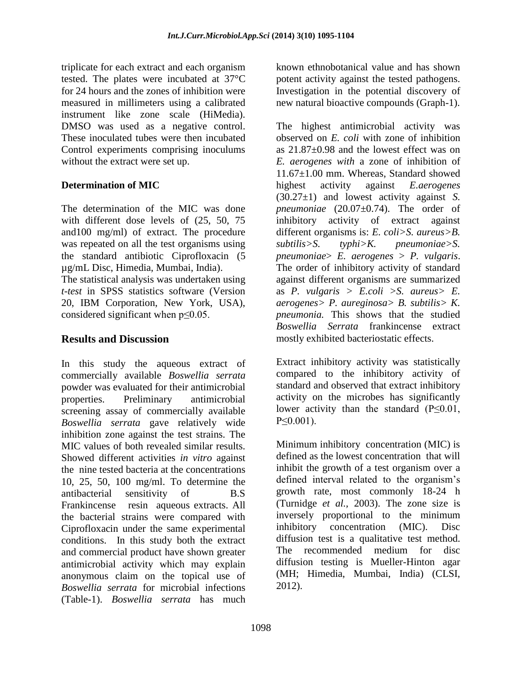triplicate for each extract and each organism tested. The plates were incubated at 37°C for 24 hours and the zones of inhibition were measured in millimeters using a calibrated instrument like zone scale (HiMedia). DMSO was used as a negative control. These inoculated tubes were then incubated Control experiments comprising inoculums without the extract were set up.

## **Determination of MIC**

The determination of the MIC was done with different dose levels of (25, 50, 75 and100 mg/ml) of extract. The procedure was repeated on all the test organisms using the standard antibiotic Ciprofloxacin (5 µg/mL Disc, Himedia, Mumbai, India).

The statistical analysis was undertaken using *t-test* in SPSS statistics software (Version 20, IBM Corporation, New York, USA), considered significant when  $p \le 0.05$ .

## **Results and Discussion**

In this study the aqueous extract of commercially available *Boswellia serrata* powder was evaluated for their antimicrobial properties. Preliminary antimicrobial screening assay of commercially available *Boswellia serrata* gave relatively wide inhibition zone against the test strains. The MIC values of both revealed similar results. Showed different activities *in vitro* against the nine tested bacteria at the concentrations 10, 25, 50, 100 mg/ml. To determine the antibacterial sensitivity of B.S Frankincense resin aqueous extracts. All the bacterial strains were compared with Ciprofloxacin under the same experimental conditions. In this study both the extract and commercial product have shown greater antimicrobial activity which may explain anonymous claim on the topical use of *Boswellia serrata* for microbial infections (Table-1). *Boswellia serrata* has much

known ethnobotanical value and has shown potent activity against the tested pathogens. Investigation in the potential discovery of new natural bioactive compounds (Graph-1).

The highest antimicrobial activity was observed on *E. coli* with zone of inhibition as 21.87±0.98 and the lowest effect was on *E. aerogenes with* a zone of inhibition of 11.67±1.00 mm. Whereas, Standard showed highest activity against *E.aerogenes* (30.27±1) and lowest activity against *S. pneumoniae* (20.07±0.74). The order of inhibitory activity of extract against different organisms is: *E. coli>S. aureus>B. subtilis>S. typhi>K. pneumoniae>S. pneumoniae*> *E. aerogenes* > *P. vulgaris*. The order of inhibitory activity of standard against different organisms are summarized as *P. vulgaris > E.coli >S. aureus> E. aerogenes> P. aureginosa> B. subtilis> K. pneumonia.* This shows that the studied *Boswellia Serrata* frankincense extract mostly exhibited bacteriostatic effects.

Extract inhibitory activity was statistically compared to the inhibitory activity of standard and observed that extract inhibitory activity on the microbes has significantly lower activity than the standard  $(P \leq 0.01$ , P≤0.001).

Minimum inhibitory concentration (MIC) is defined as the lowest concentration that will inhibit the growth of a test organism over a defined interval related to the organism's growth rate, most commonly 18-24 h (Turnidge *et al.,* 2003). The zone size is inversely proportional to the minimum inhibitory concentration (MIC). Disc diffusion test is a qualitative test method. The recommended medium for disc diffusion testing is Mueller-Hinton agar (MH; Himedia, Mumbai, India) (CLSI, 2012).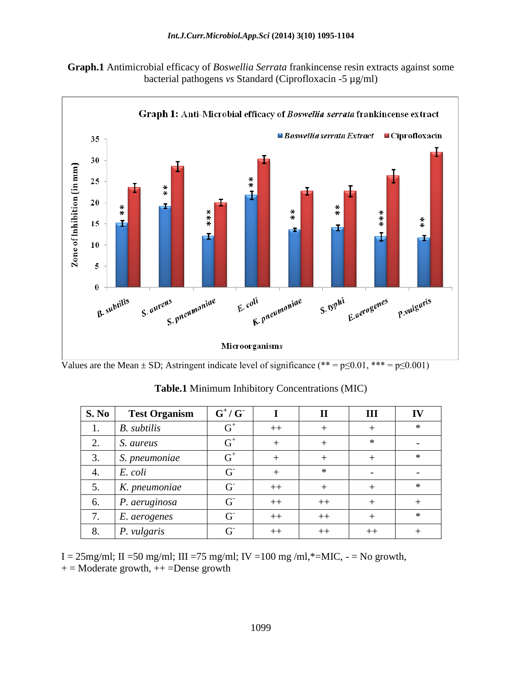



Values are the Mean  $\pm$  SD; Astringent indicate level of significance (\*\* = p $\leq 0.01$ , \*\*\* = p $\leq 0.001$ )

| S. No | <b>Test Organism</b> | $G^+/G^-$ |      | $\mathbf H$ | III     |        |
|-------|----------------------|-----------|------|-------------|---------|--------|
|       | <b>B.</b> subtilis   | $G^+$     | $++$ | $^+$        | $^{+}$  | $\ast$ |
| 2.    | S. aureus            | $G^+$     |      | ┿           | $\ast$  |        |
| 3.    | S. pneumoniae        | $G^+$     |      | ┿           |         | $\ast$ |
| 4.    | E. coli              | $G^{-}$   |      | $\ast$      |         |        |
| 5.    | K. pneumoniae        | $G^{-}$   | $++$ | $^{+}$      |         | $\ast$ |
| 6.    | P. aeruginosa        | $G^{-}$   | $++$ | $++$        | $^+$    |        |
| 7.    | E. aerogenes         | $G^{-}$   | $++$ | $++$        |         | $\ast$ |
| 8.    | P. vulgaris          | $G^{-}$   | $++$ | $^{++}$     | $^{++}$ |        |

**Table.1** Minimum Inhibitory Concentrations (MIC)

I =  $25$ mg/ml; II =  $50$  mg/ml; III =  $75$  mg/ml; IV =  $100$  mg /ml,\*= $MIC$ , - =  $No$  growth,  $+$  = Moderate growth,  $++$  =Dense growth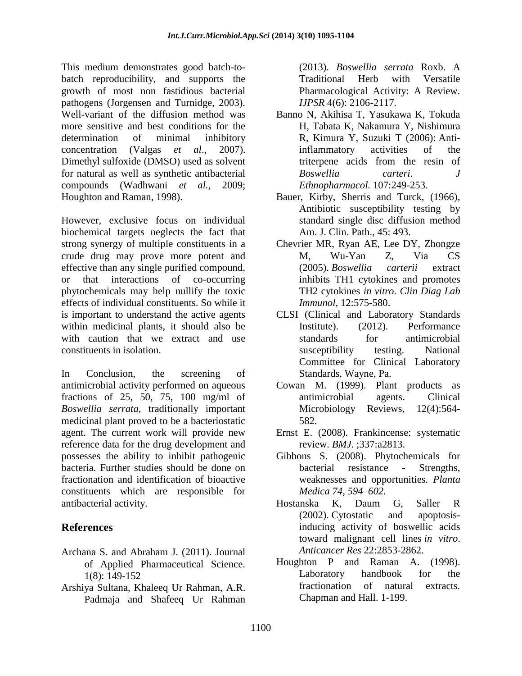This medium demonstrates good batch-tobatch reproducibility, and supports the growth of most non fastidious bacterial pathogens (Jorgensen and Turnidge, 2003). Well-variant of the diffusion method was more sensitive and best conditions for the determination of minimal inhibitory concentration (Valgas *et al*., 2007). Dimethyl sulfoxide (DMSO) used as solvent for natural as well as synthetic antibacterial compounds (Wadhwani *et al.,* 2009; Houghton and Raman, 1998).

However, exclusive focus on individual biochemical targets neglects the fact that strong synergy of multiple constituents in a crude drug may prove more potent and effective than any single purified compound, or that interactions of co-occurring phytochemicals may help nullify the toxic effects of individual constituents. So while it is important to understand the active agents within medicinal plants, it should also be with caution that we extract and use constituents in isolation.

In Conclusion, the screening of antimicrobial activity performed on aqueous fractions of 25, 50, 75, 100 mg/ml of *Boswellia serrata*, traditionally important medicinal plant proved to be a bacteriostatic agent. The current work will provide new reference data for the drug development and possesses the ability to inhibit pathogenic bacteria. Further studies should be done on fractionation and identification of bioactive constituents which are responsible for antibacterial activity.

# **References**

- Archana S. and Abraham J. (2011). Journal of Applied Pharmaceutical Science. 1(8): 149-152
- Arshiya Sultana, Khaleeq Ur Rahman, A.R. Padmaja and Shafeeq Ur Rahman

(2013). *Boswellia serrata* Roxb. A Traditional Herb with Versatile Pharmacological Activity: A Review. *IJPSR* 4(6): 2106-2117.

- Banno N, Akihisa T, Yasukawa K, Tokuda H, Tabata K, Nakamura Y, Nishimura R, Kimura Y, Suzuki T (2006): Antiinflammatory activities of the triterpene acids from the resin of *Boswellia carteri*. *J Ethnopharmacol.* 107:249-253.
- Bauer, Kirby, Sherris and Turck, (1966), Antibiotic susceptibility testing by standard single disc diffusion method Am. J. Clin. Path., 45: 493.
- Chevrier MR, Ryan AE, Lee DY, Zhongze M, Wu-Yan Z, Via CS (2005). *Boswellia carterii* extract inhibits TH1 cytokines and promotes TH2 cytokines *in vitro*. *Clin Diag Lab Immunol*, 12:575-580.
- CLSI (Clinical and Laboratory Standards Institute). (2012). Performance standards for antimicrobial susceptibility testing. National Committee for Clinical Laboratory Standards, Wayne, Pa.
- Cowan M. (1999). Plant products as antimicrobial agents. Clinical Microbiology Reviews, 12(4):564- 582.
- Ernst E. (2008). Frankincense: systematic review. *BMJ.* ;337:a2813.
- Gibbons S. (2008). Phytochemicals for bacterial resistance - Strengths, weaknesses and opportunities. *Planta Medica 74, 594–602.*
- Hostanska K, Daum G, Saller R (2002). Cytostatic and apoptosisinducing activity of boswellic acids toward malignant cell lines *in vitro*. *Anticancer Res* 22:2853-2862.
- Houghton P and Raman A. (1998). Laboratory handbook for the fractionation of natural extracts. Chapman and Hall. 1-199.